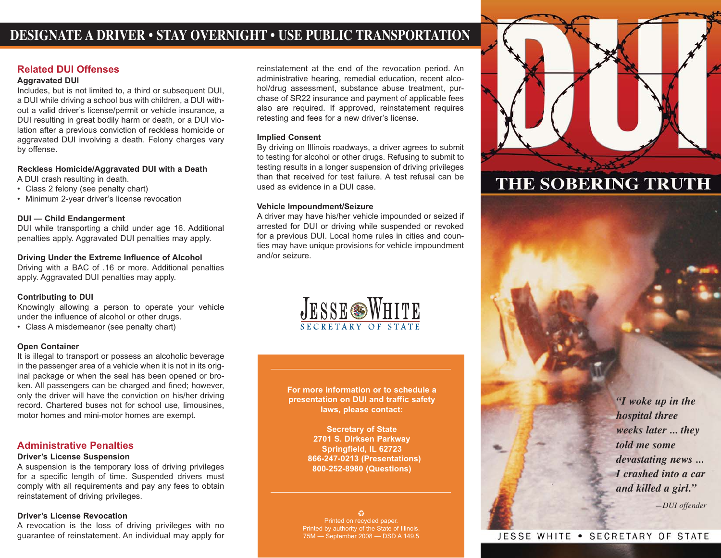# **DESIGNATE A DRIVER • STAY OVERNIGHT • USE PUBLIC TRANSPORTATION**

#### **Related DUI Offenses**

#### **Aggravated DUI**

Includes, but is not limited to, a third or subsequent DUI, a DUI while driving a school bus with children, a DUI without a valid driver's license/permit or vehicle insurance, a DUI resulting in great bodily harm or death, or a DUI violation after a previous conviction of reckless homicide or aggravated DUI involving a death. Felony charges vary by offense.

**Reckless Homicide/Aggravated DUI with a Death** A DUI crash resulting in death.

- 
- Class 2 felony (see penalty chart)
- Minimum 2-year driver's license revocation

#### **DUI — Child Endangerment**

DUI while transporting a child under age 16. Additional penalties apply. Aggravated DUI penalties may apply.

#### **Driving Under the Extreme Influence of Alcohol**

Driving with a BAC of .16 or more. Additional penalties apply. Aggravated DUI penalties may apply.

#### **Contributing to DUI**

Knowingly allowing a person to operate your vehicle under the influence of alcohol or other drugs.

• Class A misdemeanor (see penalty chart)

#### **Open Container**

It is illegal to transport or possess an alcoholic beverage in the passenger area of a vehicle when it is not in its original package or when the seal has been opened or broken. All passengers can be charged and fined; however, only the driver will have the conviction on his/her driving record. Chartered buses not for school use, limousines, motor homes and mini-motor homes are exempt.

#### **Administrative Penalties**

#### **Driver's License Suspension**

A suspension is the temporary loss of driving privileges for a specific length of time. Suspended drivers must comply with all requirements and pay any fees to obtain reinstatement of driving privileges.

#### **Driver's License Revocation**

A revocation is the loss of driving privileges with no guarantee of reinstatement. An individual may apply for

reinstatement at the end of the revocation period. An administrative hearing, remedial education, recent alcohol/drug assessment, substance abuse treatment, purchase of SR22 insurance and payment of applicable fees also are required. If approved, reinstatement requires retesting and fees for a new driver's license.

#### **Implied Consent**

By driving on Illinois roadways, a driver agrees to submit to testing for alcohol or other drugs. Refusing to submit to testing results in a longer suspension of driving privileges than that received for test failure. A test refusal can be used as evidence in a DUI case.

#### **Vehicle Impoundment/Seizure**

A driver may have his/her vehicle impounded or seized if arrested for DUI or driving while suspended or revoked for a previous DUI. Local home rules in cities and counties may have unique provisions for vehicle impoundment and/or seizure.



**For more information or to schedule a presentation on DUI and traffic safety laws, please contact:**

> **Secretary of State 2701 S. Dirksen Parkway Springfield, IL 62723 866-247-0213 (Presentations) 800-252-8980 (Questions)**

o Printed on recycled paper. Printed by authority of the State of Illinois. 75M — September 2008 — DSD A 149.5



# THE SOBERING TRUTH

*"I woke up in the hospital three weeks later ... they told me some devastating news ... I crashed into a car and killed a girl." —DUI offender*

# JESSE WHITE . SECRETARY OF STATE